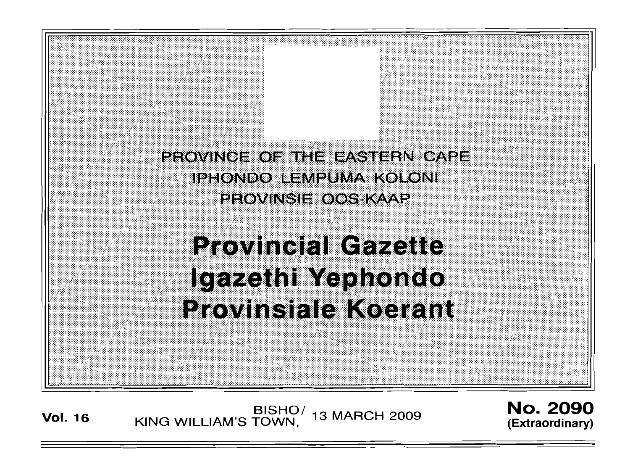PROVINCE OF THE EASTERN CAPE **IPHONDO LEMPUMA KOLONI PROVINSIE OOS KAAP** 

**Provincial Gazette** Igazethi Yephondo **Provinsiale Koerant** 

**Vol. <sup>16</sup>** BISHO/ KING WILLIAM'S TOWN , 13 MARCH 2009

No. 2090 **(Extraordinary)**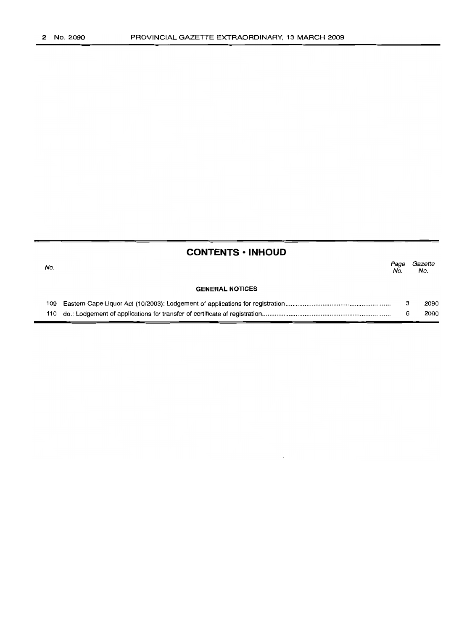|     | <b>CONTENTS · INHOUD</b> |             |                |
|-----|--------------------------|-------------|----------------|
| No. |                          | Page<br>No. | Gazette<br>No. |
|     | <b>GENERAL NOTICES</b>   |             |                |
|     |                          | з           | 2090           |
|     |                          | 6           | 2090           |
|     |                          |             |                |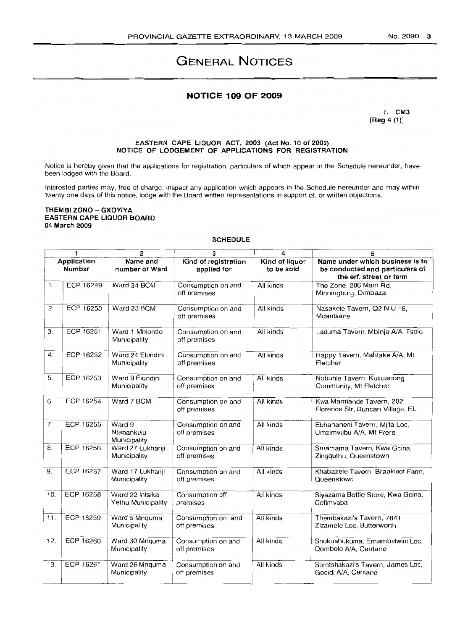# **GENERAL NOTICES**

# **NOTICE 109 OF 2009**

1. CM3  $[Reg 4 (1)]$ 

# EASTERN CAPE LIQUOR ACT, 2003 (Act No. 10 of 2003)<br>NOTICE OF LODGEMENT OF APPLICATIONS FOR REGISTRATION

Notice is hereby given that the applications for registration, particulars of which appear in the Schedule hereunder, have been lodged with the Board.

Interested parties may, free of charge, inspect any application which appears in the Schedule hereunder and may within twenty one days of this notice, lodge with the Board written representations in support of, or written objections.

#### THEMBI ZONO - GXOYIYA EASTERN CAPE LIQUOR BOARD 04 March 2009

# **SCHEDULE**

|                | 1                     | 2                                     | 3                                   | 4                            | 5                                                                                             |
|----------------|-----------------------|---------------------------------------|-------------------------------------|------------------------------|-----------------------------------------------------------------------------------------------|
|                | Application<br>Number | Name and<br>number of Ward            | Kind of registration<br>applied for | Kind of liquor<br>to be sold | Name under which business is to<br>be conducted and particulars of<br>the erf, street or farm |
| 1.             | ECP 16249             | Ward 34 BCM                           | Consumption on and<br>off premises  | All kinds                    | The Zone, 206 Main Rd.<br>Minningburg, Dimbaza                                                |
| 2.             | ECP 16250             | Ward 23 BCM                           | Consumption on and<br>off premises  | All kinds                    | Nasakele Tavern, Q2 N.U.16,<br>Mdantsane                                                      |
| 3.             | ECP 16251             | Ward 1 Mhlontlo<br>Municipality       | Consumption on and<br>off premises  | All kinds                    | Laduma Tavern, Mbinja A/A, Tsolo                                                              |
| 4.             | ECP 16252             | Ward 24 Elundini<br>Municipality      | Consumption on and<br>off premises  | All kinds                    | Happy Tavern, Mahlake A/A, Mt<br>Fletcher                                                     |
| 5.             | ECP 16253             | Ward 9 Elundini<br>Municipality       | Consumption on and<br>off premises  | All kinds                    | Nobuhle Tavern, Kutluanong<br>Community, Mt Fletcher                                          |
| 6.             | ECP 16254             | Ward 7 BCM                            | Consumption on and<br>off premises  | All kinds                    | Kwa Mamtande Tavern, 202<br>Florence Str, Duncan Village, EL                                  |
| 7 <sub>1</sub> | ECP 16255             | Ward 9<br>Ntabankulu<br>Municipality  | Consumption on and<br>off premises  | All kinds                    | Ebhananeni Tavern, Mjila Loc,<br>Umzimvubu A/A, Mt Frere                                      |
| 8.             | ECP 16256             | Ward 27 Lukhanji<br>Municipality      | Consumption on and<br>off premises  | All kinds                    | Smamama Tavern, Kwa Gcina,<br>Zingguthu, Queenstown                                           |
| 9.             | <b>ECP 16257</b>      | Ward 17 Lukhanji<br>Municipality      | Consumption on and<br>off premises  | All kinds                    | Khabazele Tavern, Braakloof Farm,<br>Queenstown                                               |
| 10.            | ECP 16258             | Ward 22 Intsika<br>Yethu Municipality | Consumption off<br>premises         | All kinds                    | Siyazama Bottle Store, Kwa Gcina,<br>Cofimvaba                                                |
| 11.            | ECP 16259             | Ward 5 Mnquma<br>Municipality         | Consumption on and<br>off premises  | All kinds                    | Thembakazi's Tavern, 7841<br>Zizamele Loc, Butterworth                                        |
| 12.            | ECP 16260             | Ward 30 Mnquma<br>Municipality        | Consumption on and<br>off premises  | All kinds                    | Shukushukuma, Emambalwini Loc,<br>Qombolo A/A, Centane                                        |
| 13.            | ECP 16261             | Ward 26 Mnquma<br>Municipality        | Consumption on and<br>off premises  | All kinds                    | Somtshakazi's Tavern, James Loc,<br>Godidi A/A, Centane                                       |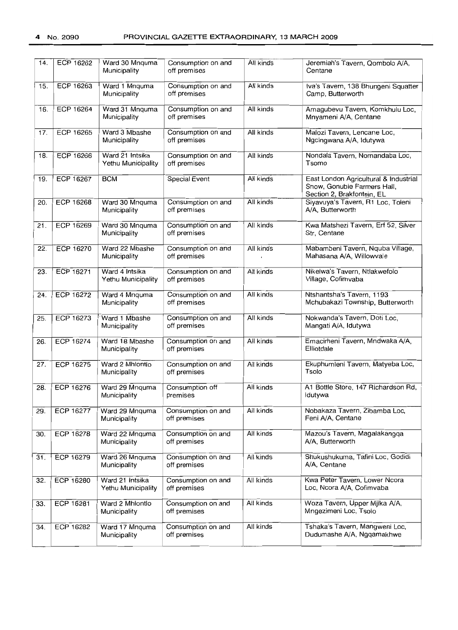| 14. | ECP 16262        | Ward 30 Mnguma<br>Municipality        | Consumption on and<br>off premises | All kinds | Jeremiah's Tavern, Qombolo A/A,<br>Centane                                                         |
|-----|------------------|---------------------------------------|------------------------------------|-----------|----------------------------------------------------------------------------------------------------|
| 15. | ECP 16263        | Ward 1 Mnquma<br>Municipality         | Consumption on and<br>off premises | All kinds | Iva's Tavern, 138 Bhungeni Squatter<br>Camp, Butterworth                                           |
| 16. | ECP 16264        | Ward 31 Mnguma<br>Municipality        | Consumption on and<br>off premises | All kinds | Amagubevu Tavern, Komkhulu Loc,<br>Mnyameni A/A, Centane                                           |
| 17. | <b>ECP 16265</b> | Ward 3 Mbashe<br>Municipality         | Consumption on and<br>off premises | All kinds | Malozi Tavern, Lencane Loc,<br>Ngcingwana A/A, Idutywa                                             |
| 18. | ECP 16266        | Ward 21 Intsika<br>Yethu Municipality | Consumption on and<br>off premises | All kinds | Nondala Tavern, Nomandaba Loc,<br>Tsomo                                                            |
| 19. | ECP 16267        | <b>BCM</b>                            | <b>Special Event</b>               | All kinds | East London Agricultural & Industrial<br>Show, Gonubie Farmers Hall,<br>Section 2, Brakfontein, EL |
| 20. | ECP 16268        | Ward 30 Mnquma<br>Municipality        | Consumption on and<br>off premises | All kinds | Siyavuya's Tavern, R1 Loc, Toleni<br>A/A, Butterworth                                              |
| 21. | ECP 16269        | Ward 30 Mnguma<br>Municipality        | Consumption on and<br>off premises | All kinds | Kwa Matshezi Tavern, Erf 52, Silver<br>Str, Centane                                                |
| 22. | <b>ECP 16270</b> | Ward 22 Mbashe<br>Municipality        | Consumption on and<br>off premises | All kinds | Mabambeni Tavern, Nguba Village,<br>Mahasana A/A, Willowvale                                       |
| 23. | ECP 16271        | Ward 4 Intsika<br>Yethu Municipality  | Consumption on and<br>off premises | All kinds | Nikelwa's Tavern, Ntlakwefolo<br>Village, Cofimvaba                                                |
| 24. | ECP 16272        | Ward 4 Mnquma<br>Municipality         | Consumption on and<br>off premises | All kinds | Ntshantsha's Tavern, 1193<br>Mchubakazi Township, Butterworth                                      |
| 25. | ECP 16273        | Ward 1 Mbashe<br>Municipality         | Consumption on and<br>off premises | All kinds | Nokwanda's Tavern, Doti Loc,<br>Mangati A/A, Idutywa                                               |
| 26. | ECP 16274        | Ward 18 Mbashe<br>Municipality        | Consumption on and<br>off premises | All kinds | Emacirheni Tavern, Mndwaka A/A,<br>Elliotdale                                                      |
| 27. | <b>ECP 16275</b> | Ward 2 Mhlontlo<br>Municipality       | Consumption on and<br>off premises | All kinds | Ekuphumleni Tavern, Matyeba Loc,<br>Tsolo                                                          |
| 28. | <b>ECP 16276</b> | Ward 29 Mnquma<br>Municipality        | Consumption off<br>premises        | All kinds | A1 Bottle Store, 147 Richardson Rd,<br>ldutywa                                                     |
| 29. | ECP 16277        | Ward 29 Mnquma<br>Municipality        | Consumption on and<br>off premises | All kinds | Nobakaza Tavern, Zibamba Loc,<br>Feni A/A, Centane                                                 |
| 30. | ECP 16278        | Ward 22 Mnquma<br>Municipality        | Consumption on and<br>off premises | All kinds | Mazou's Tavern, Magalakangqa<br>A/A, Butterworth                                                   |
| 31. | <b>ECP 16279</b> | Ward 26 Mnquma<br>Municipality        | Consumption on and<br>off premises | All kinds | Shukushukuma, Tafini Loc, Godidi<br>A/A, Centane                                                   |
| 32. | ECP 16280        | Ward 21 Intsika<br>Yethu Municipality | Consumption on and<br>off premises | All kinds | Kwa Peter Tavern, Lower Ncora<br>Loc, Ncora A/A, Cofimvaba                                         |
| 33. | ECP 16281        | Ward 2 Mhiontlo<br>Municipality       | Consumption on and<br>off premises | All kinds | Woza Tavern, Upper Mjika A/A,<br>Mngezimeni Loc, Tsolo                                             |
| 34. | ECP 16282        | Ward 17 Mnquma<br>Municipality        | Consumption on and<br>off premises | All kinds | Tshaka's Tavern, Mangweni Loc,<br>Dudumashe A/A, Ngqamakhwe                                        |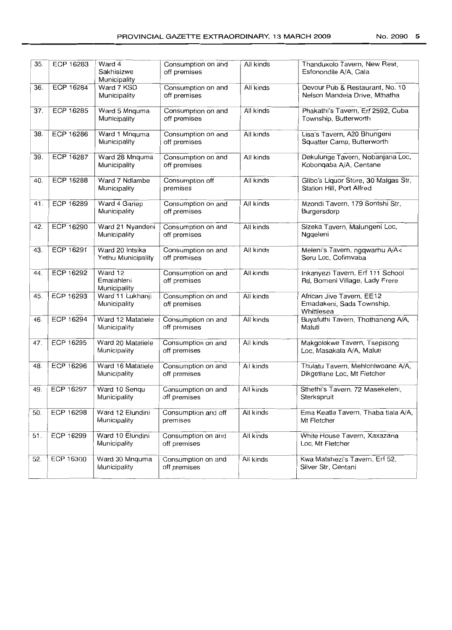| 35. | ECP 16283        | Ward 4<br>Sakhisizwe<br>Municipality  | Consumption on and<br>off premises | All kinds | Thanduxolo Tavern, New Rest,<br>Esfonondile A/A, Cala                |
|-----|------------------|---------------------------------------|------------------------------------|-----------|----------------------------------------------------------------------|
| 36. | <b>ECP 16284</b> | Ward 7 KSD<br>Municipality            | Consumption on and<br>off premises | All kinds | Devour Pub & Restaurant, No. 10<br>Nelson Mandela Drive, Mthatha     |
| 37. | <b>ECP 16285</b> | Ward 5 Mnquma<br>Municipality         | Consumption on and<br>off premises | All kinds | Phakathi's Tavern, Erf 2592, Cuba<br>Township, Butterworth           |
| 38. | ECP 16286        | Ward 1 Mnquma<br>Municipality         | Consumption on and<br>off premises | All kinds | Lisa's Tavern, A20 Bhungeni<br>Squatter Camp, Butterworth            |
| 39. | <b>ECP 16287</b> | Ward 28 Mnquma<br>Municipality        | Consumption on and<br>off premises | All kinds | Dekulunge Tavern, Nobanjana Loc,<br>Kobongaba A/A, Centane           |
| 40. | <b>ECP 16288</b> | Ward 7 Ndlambe<br>Municipality        | Consumption off<br>premises        | All kinds | Glibo's Liquor Store, 30 Malgas Str,<br>Station Hill, Port Alfred    |
| 41. | ECP 16289        | Ward 4 Gariep<br>Municipality         | Consumption on and<br>off premises | Ail kinds | Mzondi Tavern, 179 Sontshi Str,<br>Burgersdorp                       |
| 42. | <b>ECP 16290</b> | Ward 21 Nyandeni<br>Municipality      | Consumption on and<br>off premises | All kinds | Sizeka Tavern, Malungeni Loc,<br>Nggeleni                            |
| 43. | ECP 16291        | Ward 20 Intsika<br>Yethu Municipality | Consumption on and<br>off premises | All kinds | Meleni's Tavern, ngqwarhu A/A<<br>Seru Loc. Cofimvaba                |
| 44. | <b>ECP 16292</b> | Ward 12<br>Emalahleni<br>Municipality | Consumption on and<br>off premises | All kinds | Inkanyezi Tavern, Erf 111 School<br>Rd, Bomeni Village, Lady Frere   |
| 45. | ECP 16293        | Ward 11 Lukhanji<br>Municipality      | Consumption on and<br>off premises | All kinds | African Jive Tavern, EE12<br>Emadakeni, Sada Township,<br>Whittlesea |
| 46. | ECP 16294        | Ward 12 Matatiele<br>Municipality     | Consumption on and<br>off premises | All kinds | Buyafuthi Tavern, Thothaneng A/A,<br>Maluti                          |
| 47. | ECP 16295        | Ward 20 Matatiele<br>Municipality     | Consumption on and<br>off premises | All kinds | Makgolokwe Tavern, Tsepisong<br>Loc, Masakala A/A, Maluti            |
| 48. | ECP 16296        | Ward 16 Matatiele<br>Municipality     | Consumption on and<br>off premises | All kinds | Thulatu Tavern, Mehlohiwoane A/A,<br>Dikgetlane Loc, Mt Fletcher     |
| 49. | ECP 16297        | Ward 10 Senqu<br>Municipality         | Consumption on and<br>off premises | All kinds | Sthethi's Tavern, 72 Masekeleni,<br>Sterkspruit                      |
| 50. | <b>ECP 16298</b> | Ward 12 Elundini<br>Municipality      | Consumption and off<br>premises    | All kinds | Ema Keatla Tavern, Thaba tlala A/A,<br>Mt Fletcher                   |
| 51. | ECP 16299        | Ward 10 Elundini<br>Municipality      | Consumption on and<br>off premises | All kinds | White House Tavern, Xaxazana<br>Loc, Mt Fletcher                     |
| 52. | <b>ECP 16300</b> | Ward 30 Mnquma<br>Municipality        | Consumption on and<br>off premises | All kinds | Kwa Matshezi's Tavern, Erf 52,<br>Silver Str, Centani                |